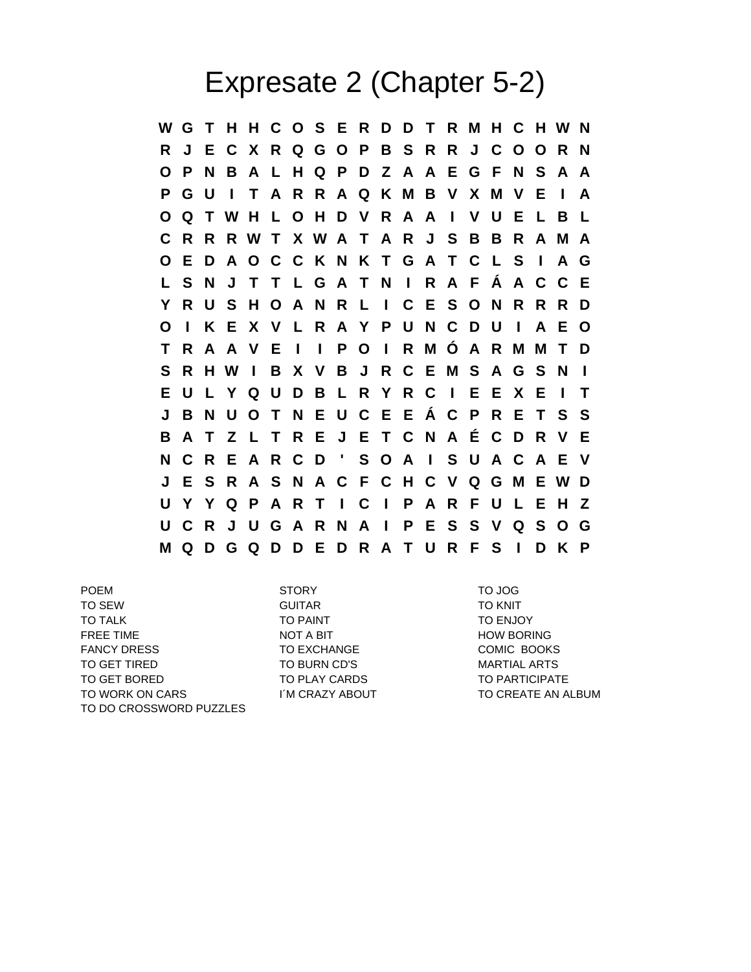## Expresate 2 (Chapter 5-2)

**W G T H H C O S E R D D T R M H C H W N R J E C X R Q G O P B S R R J C O O R N O P N B A L H Q P D Z A A E G F N S A A P G U I T A R R A Q K M B V X M V E I A O Q T W H L O H D V R A A I V U E L B L C R R R W T X W A T A R J S B B R A M A O E D A O C C K N K T G A T C L S I A G L S N J T T L G A T N I R A F Á A C C E Y R U S H O A N R L I C E S O N R R R D O I K E X V L R A Y P U N C D U I A E O T R A A V E I I P O I R M Ó A R M M T D S R H W I B X V B J R C E M S A G S N I E U L Y Q U D B L R Y R C I E E X E I T J B N U O T N E U C E E Á C P R E T S S B A T Z L T R E J E T C N A É C D R V E N C R E A R C D ' S O A I S U A C A E V J E S R A S N A C F C H C V Q G M E W D U Y Y Q P A R T I C I P A R F U L E H Z U C R J U G A R N A I P E S S V Q S O G M Q D G Q D D E D R A T U R F S I D K P**

POEM STORY TO JOG TO SEW GUITAR TO KNIT TO TALK TO PAINT TO PAINT TO ENJOY FREE TIME **NOT A BIT NOT A BIT HOW BORING** FANCY DRESS TO EXCHANGE TO A COMIC BOOKS TO GET TIRED TO BURN CD'S TO BURN CONSTANTIAL ARTS TO GET BORED TO PLAY CARDS TO PLAY CONSTAND TO PARTICIPATE TO WORK ON CARS I´M CRAZY ABOUT TO CREATE AN ALBUM TO DO CROSSWORD PUZZLES